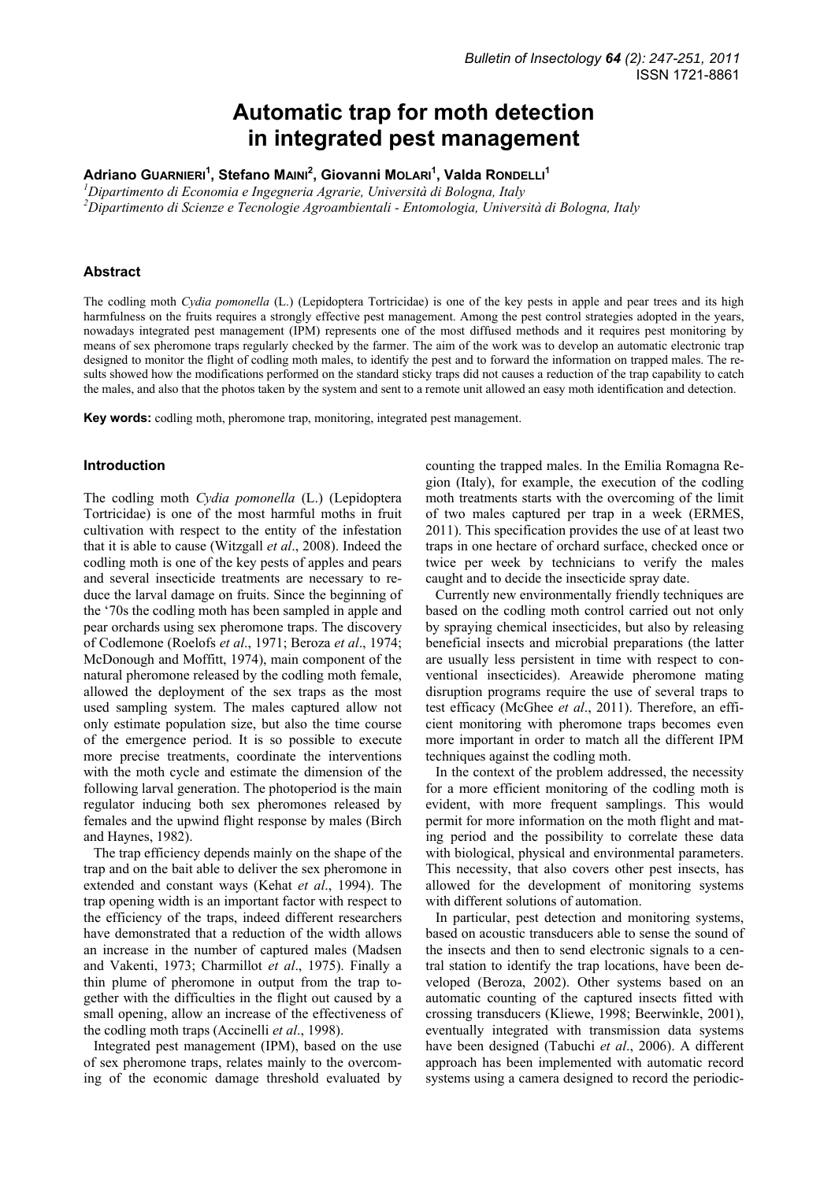# **Automatic trap for moth detection in integrated pest management**

**Adriano GUARNIERI<sup>1</sup> , Stefano MAINI<sup>2</sup> , Giovanni MOLARI<sup>1</sup> , Valda RONDELLI<sup>1</sup>**

*1 Dipartimento di Economia e Ingegneria Agrarie, Università di Bologna, Italy* 

*2 Dipartimento di Scienze e Tecnologie Agroambientali - Entomologia, Università di Bologna, Italy* 

## **Abstract**

The codling moth *Cydia pomonella* (L.) (Lepidoptera Tortricidae) is one of the key pests in apple and pear trees and its high harmfulness on the fruits requires a strongly effective pest management. Among the pest control strategies adopted in the years, nowadays integrated pest management (IPM) represents one of the most diffused methods and it requires pest monitoring by means of sex pheromone traps regularly checked by the farmer. The aim of the work was to develop an automatic electronic trap designed to monitor the flight of codling moth males, to identify the pest and to forward the information on trapped males. The results showed how the modifications performed on the standard sticky traps did not causes a reduction of the trap capability to catch the males, and also that the photos taken by the system and sent to a remote unit allowed an easy moth identification and detection.

**Key words:** codling moth, pheromone trap, monitoring, integrated pest management.

#### **Introduction**

The codling moth *Cydia pomonella* (L.) (Lepidoptera Tortricidae) is one of the most harmful moths in fruit cultivation with respect to the entity of the infestation that it is able to cause (Witzgall *et al*., 2008). Indeed the codling moth is one of the key pests of apples and pears and several insecticide treatments are necessary to reduce the larval damage on fruits. Since the beginning of the '70s the codling moth has been sampled in apple and pear orchards using sex pheromone traps. The discovery of Codlemone (Roelofs *et al*., 1971; Beroza *et al*., 1974; McDonough and Moffitt, 1974), main component of the natural pheromone released by the codling moth female, allowed the deployment of the sex traps as the most used sampling system. The males captured allow not only estimate population size, but also the time course of the emergence period. It is so possible to execute more precise treatments, coordinate the interventions with the moth cycle and estimate the dimension of the following larval generation. The photoperiod is the main regulator inducing both sex pheromones released by females and the upwind flight response by males (Birch and Haynes, 1982).

The trap efficiency depends mainly on the shape of the trap and on the bait able to deliver the sex pheromone in extended and constant ways (Kehat *et al*., 1994). The trap opening width is an important factor with respect to the efficiency of the traps, indeed different researchers have demonstrated that a reduction of the width allows an increase in the number of captured males (Madsen and Vakenti, 1973; Charmillot *et al*., 1975). Finally a thin plume of pheromone in output from the trap together with the difficulties in the flight out caused by a small opening, allow an increase of the effectiveness of the codling moth traps (Accinelli *et al*., 1998).

Integrated pest management (IPM), based on the use of sex pheromone traps, relates mainly to the overcoming of the economic damage threshold evaluated by counting the trapped males. In the Emilia Romagna Region (Italy), for example, the execution of the codling moth treatments starts with the overcoming of the limit of two males captured per trap in a week (ERMES, 2011). This specification provides the use of at least two traps in one hectare of orchard surface, checked once or twice per week by technicians to verify the males caught and to decide the insecticide spray date.

Currently new environmentally friendly techniques are based on the codling moth control carried out not only by spraying chemical insecticides, but also by releasing beneficial insects and microbial preparations (the latter are usually less persistent in time with respect to conventional insecticides). Areawide pheromone mating disruption programs require the use of several traps to test efficacy (McGhee *et al*., 2011). Therefore, an efficient monitoring with pheromone traps becomes even more important in order to match all the different IPM techniques against the codling moth.

In the context of the problem addressed, the necessity for a more efficient monitoring of the codling moth is evident, with more frequent samplings. This would permit for more information on the moth flight and mating period and the possibility to correlate these data with biological, physical and environmental parameters. This necessity, that also covers other pest insects, has allowed for the development of monitoring systems with different solutions of automation.

In particular, pest detection and monitoring systems, based on acoustic transducers able to sense the sound of the insects and then to send electronic signals to a central station to identify the trap locations, have been developed (Beroza, 2002). Other systems based on an automatic counting of the captured insects fitted with crossing transducers (Kliewe, 1998; Beerwinkle, 2001), eventually integrated with transmission data systems have been designed (Tabuchi *et al*., 2006). A different approach has been implemented with automatic record systems using a camera designed to record the periodic-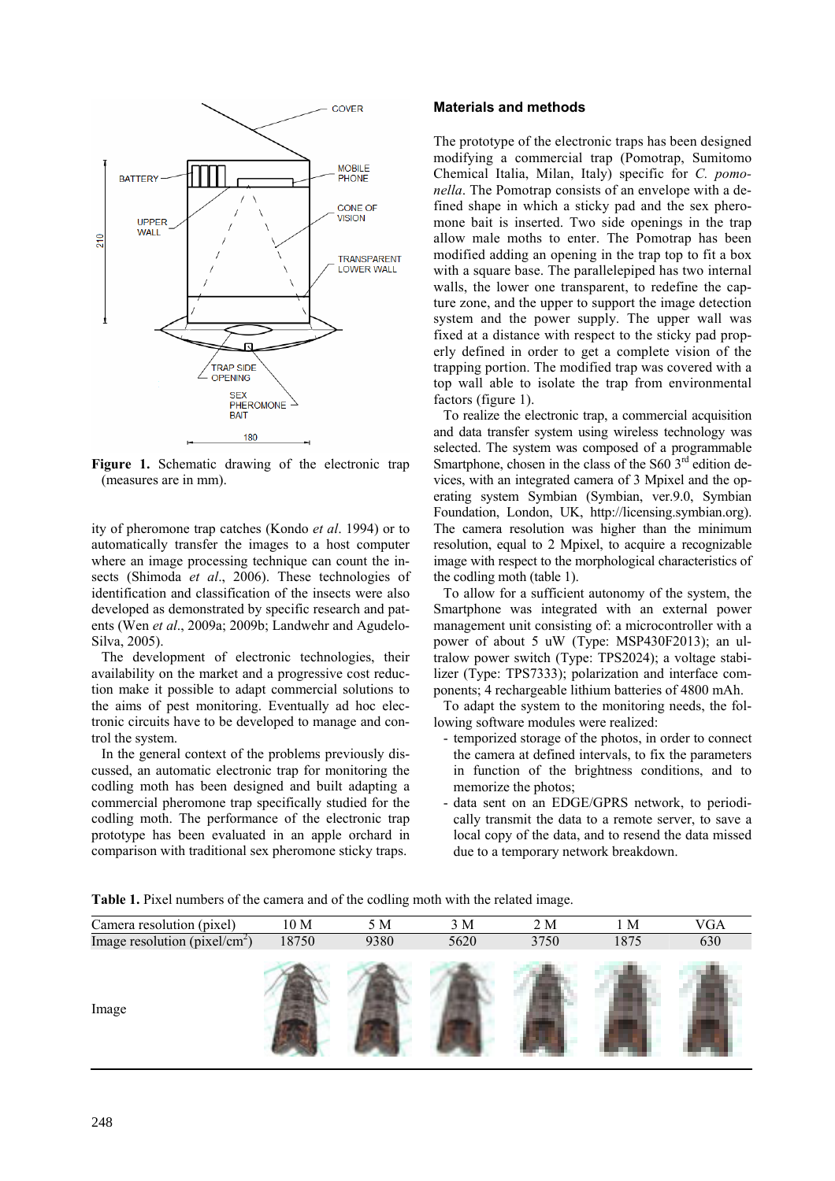

**Figure 1.** Schematic drawing of the electronic trap (measures are in mm).

ity of pheromone trap catches (Kondo *et al*. 1994) or to automatically transfer the images to a host computer where an image processing technique can count the insects (Shimoda *et al*., 2006). These technologies of identification and classification of the insects were also developed as demonstrated by specific research and patents (Wen *et al*., 2009a; 2009b; Landwehr and Agudelo-Silva, 2005).

The development of electronic technologies, their availability on the market and a progressive cost reduction make it possible to adapt commercial solutions to the aims of pest monitoring. Eventually ad hoc electronic circuits have to be developed to manage and control the system.

In the general context of the problems previously discussed, an automatic electronic trap for monitoring the codling moth has been designed and built adapting a commercial pheromone trap specifically studied for the codling moth. The performance of the electronic trap prototype has been evaluated in an apple orchard in comparison with traditional sex pheromone sticky traps.

## **Materials and methods**

The prototype of the electronic traps has been designed modifying a commercial trap (Pomotrap, Sumitomo Chemical Italia, Milan, Italy) specific for *C. pomonella*. The Pomotrap consists of an envelope with a defined shape in which a sticky pad and the sex pheromone bait is inserted. Two side openings in the trap allow male moths to enter. The Pomotrap has been modified adding an opening in the trap top to fit a box with a square base. The parallelepiped has two internal walls, the lower one transparent, to redefine the capture zone, and the upper to support the image detection system and the power supply. The upper wall was fixed at a distance with respect to the sticky pad properly defined in order to get a complete vision of the trapping portion. The modified trap was covered with a top wall able to isolate the trap from environmental factors (figure 1).

To realize the electronic trap, a commercial acquisition and data transfer system using wireless technology was selected. The system was composed of a programmable Smartphone, chosen in the class of the  $S60$  3<sup>rd</sup> edition devices, with an integrated camera of 3 Mpixel and the operating system Symbian (Symbian, ver.9.0, Symbian Foundation, London, UK, http://licensing.symbian.org). The camera resolution was higher than the minimum resolution, equal to 2 Mpixel, to acquire a recognizable image with respect to the morphological characteristics of the codling moth (table 1).

To allow for a sufficient autonomy of the system, the Smartphone was integrated with an external power management unit consisting of: a microcontroller with a power of about 5 uW (Type: MSP430F2013); an ultralow power switch (Type: TPS2024); a voltage stabilizer (Type: TPS7333); polarization and interface components; 4 rechargeable lithium batteries of 4800 mAh.

To adapt the system to the monitoring needs, the following software modules were realized:

- temporized storage of the photos, in order to connect the camera at defined intervals, to fix the parameters in function of the brightness conditions, and to memorize the photos;
- data sent on an EDGE/GPRS network, to periodically transmit the data to a remote server, to save a local copy of the data, and to resend the data missed due to a temporary network breakdown.

**Table 1.** Pixel numbers of the camera and of the codling moth with the related image.

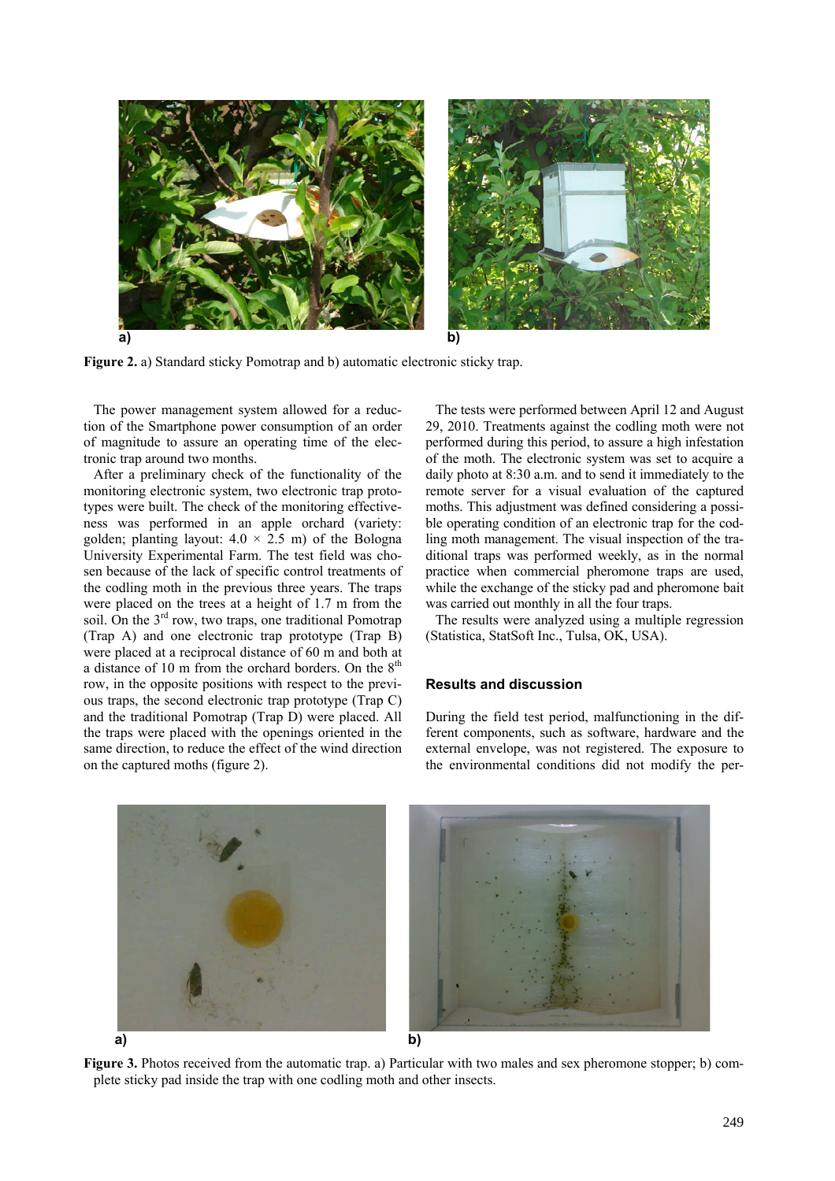

**Figure 2.** a) Standard sticky Pomotrap and b) automatic electronic sticky trap.

The power management system allowed for a reduction of the Smartphone power consumption of an order of magnitude to assure an operating time of the electronic trap around two months.

After a preliminary check of the functionality of the monitoring electronic system, two electronic trap prototypes were built. The check of the monitoring effectiveness was performed in an apple orchard (variety: golden; planting layout:  $4.0 \times 2.5$  m) of the Bologna University Experimental Farm. The test field was chosen because of the lack of specific control treatments of the codling moth in the previous three years. The traps were placed on the trees at a height of 1.7 m from the soil. On the  $3<sup>rd</sup>$  row, two traps, one traditional Pomotrap (Trap A) and one electronic trap prototype (Trap B) were placed at a reciprocal distance of 60 m and both at a distance of 10 m from the orchard borders. On the  $8<sup>th</sup>$ row, in the opposite positions with respect to the previous traps, the second electronic trap prototype (Trap C) and the traditional Pomotrap (Trap D) were placed. All the traps were placed with the openings oriented in the same direction, to reduce the effect of the wind direction on the captured moths (figure 2).

The tests were performed between April 12 and August 29, 2010. Treatments against the codling moth were not performed during this period, to assure a high infestation of the moth. The electronic system was set to acquire a daily photo at 8:30 a.m. and to send it immediately to the remote server for a visual evaluation of the captured moths. This adjustment was defined considering a possible operating condition of an electronic trap for the codling moth management. The visual inspection of the traditional traps was performed weekly, as in the normal practice when commercial pheromone traps are used, while the exchange of the sticky pad and pheromone bait was carried out monthly in all the four traps.

The results were analyzed using a multiple regression (Statistica, StatSoft Inc., Tulsa, OK, USA).

## **Results and discussion**

During the field test period, malfunctioning in the different components, such as software, hardware and the external envelope, was not registered. The exposure to the environmental conditions did not modify the per-

**a) b)** 

**Figure 3.** Photos received from the automatic trap. a) Particular with two males and sex pheromone stopper; b) complete sticky pad inside the trap with one codling moth and other insects.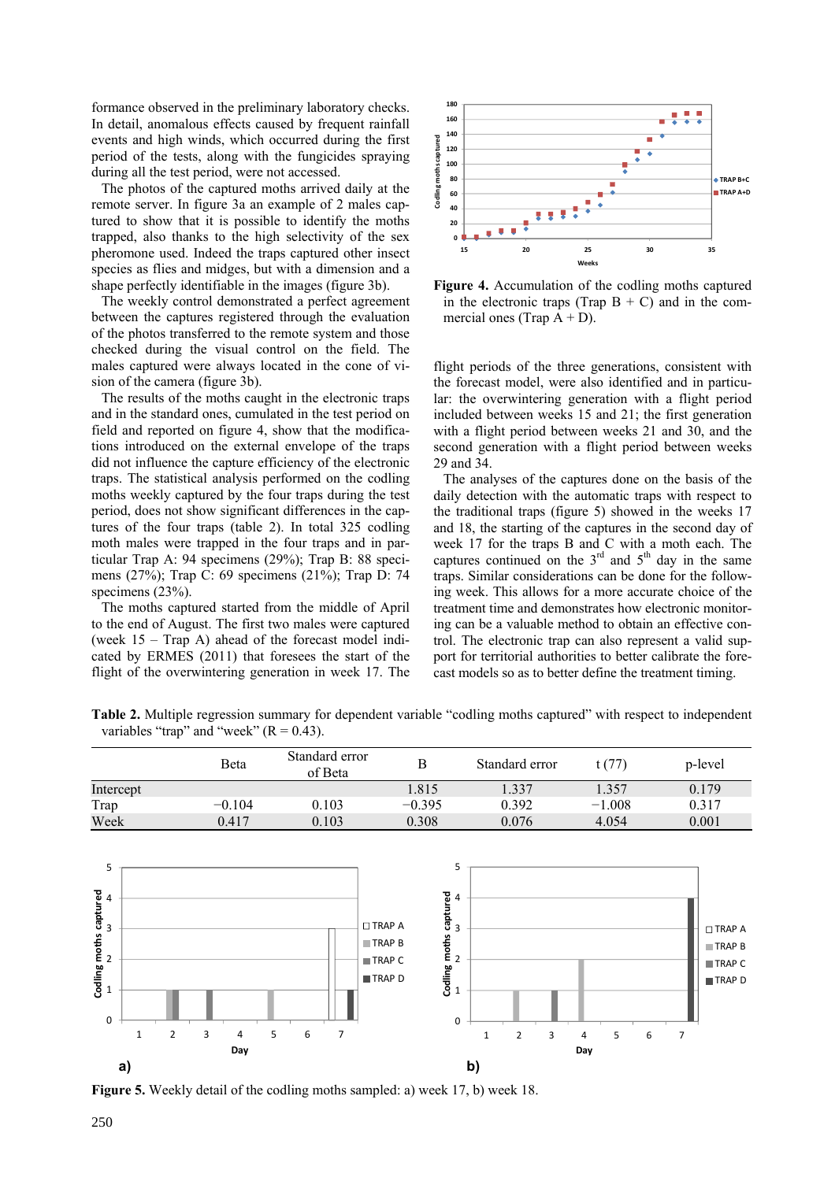formance observed in the preliminary laboratory checks. In detail, anomalous effects caused by frequent rainfall events and high winds, which occurred during the first period of the tests, along with the fungicides spraying during all the test period, were not accessed.

The photos of the captured moths arrived daily at the remote server. In figure 3a an example of 2 males captured to show that it is possible to identify the moths trapped, also thanks to the high selectivity of the sex pheromone used. Indeed the traps captured other insect species as flies and midges, but with a dimension and a shape perfectly identifiable in the images (figure 3b).

The weekly control demonstrated a perfect agreement between the captures registered through the evaluation of the photos transferred to the remote system and those checked during the visual control on the field. The males captured were always located in the cone of vision of the camera (figure 3b).

The results of the moths caught in the electronic traps and in the standard ones, cumulated in the test period on field and reported on figure 4, show that the modifications introduced on the external envelope of the traps did not influence the capture efficiency of the electronic traps. The statistical analysis performed on the codling moths weekly captured by the four traps during the test period, does not show significant differences in the captures of the four traps (table 2). In total 325 codling moth males were trapped in the four traps and in particular Trap A: 94 specimens (29%); Trap B: 88 specimens (27%); Trap C: 69 specimens (21%); Trap D: 74 specimens (23%).

The moths captured started from the middle of April to the end of August. The first two males were captured (week 15 – Trap A) ahead of the forecast model indicated by ERMES (2011) that foresees the start of the flight of the overwintering generation in week 17. The



**Figure 4.** Accumulation of the codling moths captured in the electronic traps (Trap  $B + C$ ) and in the commercial ones (Trap  $A + D$ ).

flight periods of the three generations, consistent with the forecast model, were also identified and in particular: the overwintering generation with a flight period included between weeks 15 and 21; the first generation with a flight period between weeks 21 and 30, and the second generation with a flight period between weeks 29 and 34.

The analyses of the captures done on the basis of the daily detection with the automatic traps with respect to the traditional traps (figure 5) showed in the weeks 17 and 18, the starting of the captures in the second day of week 17 for the traps B and C with a moth each. The captures continued on the  $3<sup>rd</sup>$  and  $5<sup>th</sup>$  day in the same traps. Similar considerations can be done for the following week. This allows for a more accurate choice of the treatment time and demonstrates how electronic monitoring can be a valuable method to obtain an effective control. The electronic trap can also represent a valid support for territorial authorities to better calibrate the forecast models so as to better define the treatment timing.

**Table 2.** Multiple regression summary for dependent variable "codling moths captured" with respect to independent variables "trap" and "week"  $(R = 0.43)$ .

|           | Beta     | Standard error<br>of Beta | Β        | Standard error | t(77)    | p-level |
|-----------|----------|---------------------------|----------|----------------|----------|---------|
| Intercept |          |                           | 1.815    | 1.337          | 1.357    | 0.179   |
| Trap      | $-0.104$ | 0.103                     | $-0.395$ | 0.392          | $-1.008$ | 0.317   |
| Week      | 0.417    | 0.103                     | 0.308    | 0.076          | 4.054    | 0.001   |



**Figure 5.** Weekly detail of the codling moths sampled: a) week 17, b) week 18.